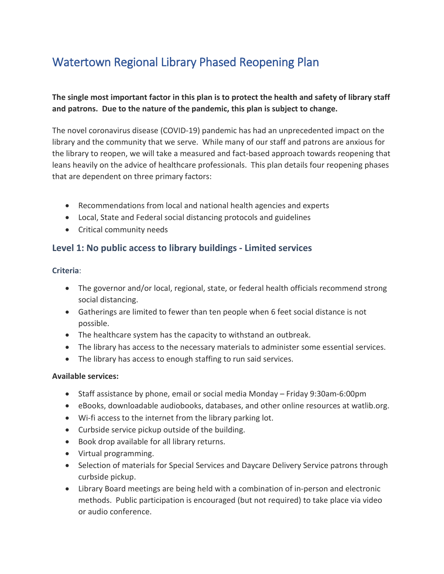# Watertown Regional Library Phased Reopening Plan

# **The single most important factor in this plan is to protect the health and safety of library staff and patrons. Due to the nature of the pandemic, this plan is subject to change.**

The novel coronavirus disease (COVID-19) pandemic has had an unprecedented impact on the library and the community that we serve. While many of our staff and patrons are anxious for the library to reopen, we will take a measured and fact-based approach towards reopening that leans heavily on the advice of healthcare professionals. This plan details four reopening phases that are dependent on three primary factors:

- Recommendations from local and national health agencies and experts
- Local, State and Federal social distancing protocols and guidelines
- Critical community needs

# **Level 1: No public access to library buildings - Limited services**

#### **Criteria**:

- The governor and/or local, regional, state, or federal health officials recommend strong social distancing.
- Gatherings are limited to fewer than ten people when 6 feet social distance is not possible.
- The healthcare system has the capacity to withstand an outbreak.
- The library has access to the necessary materials to administer some essential services.
- The library has access to enough staffing to run said services.

#### **Available services:**

- Staff assistance by phone, email or social media Monday Friday 9:30am-6:00pm
- eBooks, downloadable audiobooks, databases, and other online resources at watlib.org.
- Wi-fi access to the internet from the library parking lot.
- Curbside service pickup outside of the building.
- Book drop available for all library returns.
- Virtual programming.
- Selection of materials for Special Services and Daycare Delivery Service patrons through curbside pickup.
- Library Board meetings are being held with a combination of in-person and electronic methods. Public participation is encouraged (but not required) to take place via video or audio conference.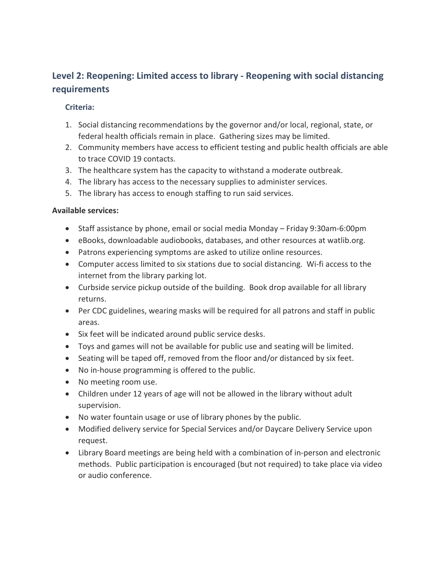# **Level 2: Reopening: Limited access to library - Reopening with social distancing requirements**

#### **Criteria:**

- 1. Social distancing recommendations by the governor and/or local, regional, state, or federal health officials remain in place. Gathering sizes may be limited.
- 2. Community members have access to efficient testing and public health officials are able to trace COVID 19 contacts.
- 3. The healthcare system has the capacity to withstand a moderate outbreak.
- 4. The library has access to the necessary supplies to administer services.
- 5. The library has access to enough staffing to run said services.

#### **Available services:**

- Staff assistance by phone, email or social media Monday Friday 9:30am-6:00pm
- eBooks, downloadable audiobooks, databases, and other resources at watlib.org.
- Patrons experiencing symptoms are asked to utilize online resources.
- Computer access limited to six stations due to social distancing. Wi-fi access to the internet from the library parking lot.
- Curbside service pickup outside of the building. Book drop available for all library returns.
- Per CDC guidelines, wearing masks will be required for all patrons and staff in public areas.
- Six feet will be indicated around public service desks.
- Toys and games will not be available for public use and seating will be limited.
- Seating will be taped off, removed from the floor and/or distanced by six feet.
- No in-house programming is offered to the public.
- No meeting room use.
- Children under 12 years of age will not be allowed in the library without adult supervision.
- No water fountain usage or use of library phones by the public.
- Modified delivery service for Special Services and/or Daycare Delivery Service upon request.
- Library Board meetings are being held with a combination of in-person and electronic methods. Public participation is encouraged (but not required) to take place via video or audio conference.